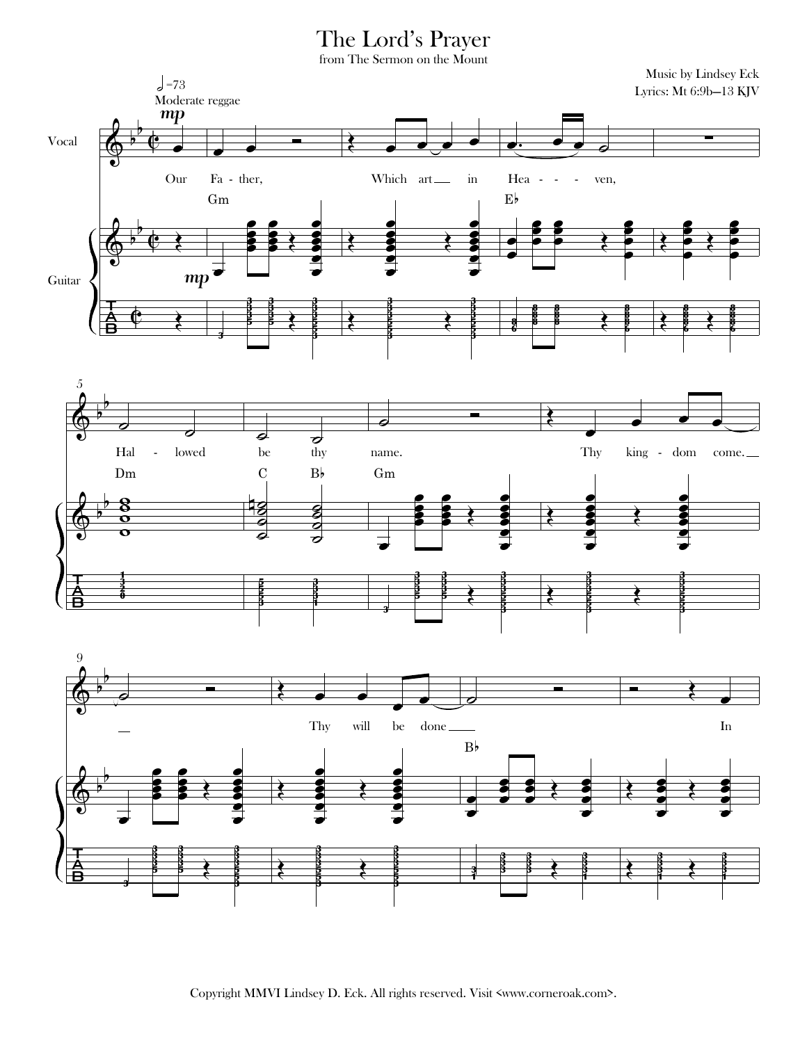## The Lord's Prayer

from The Sermon on the Mount

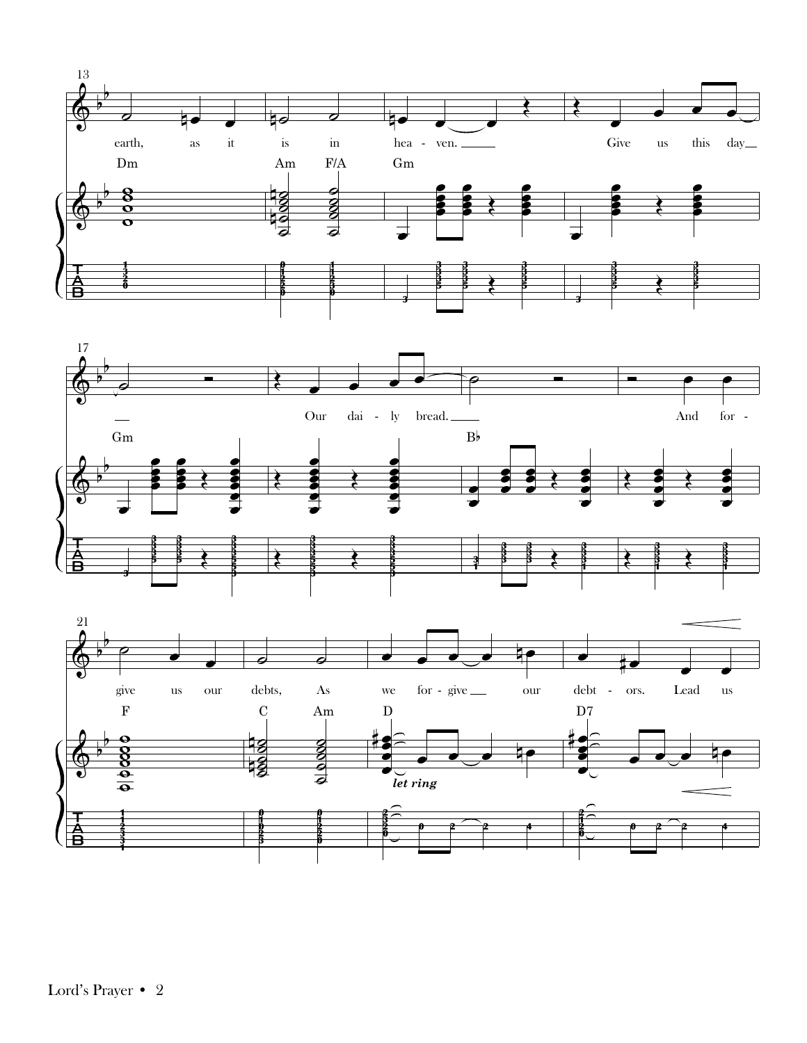





Lord's Prayer • 2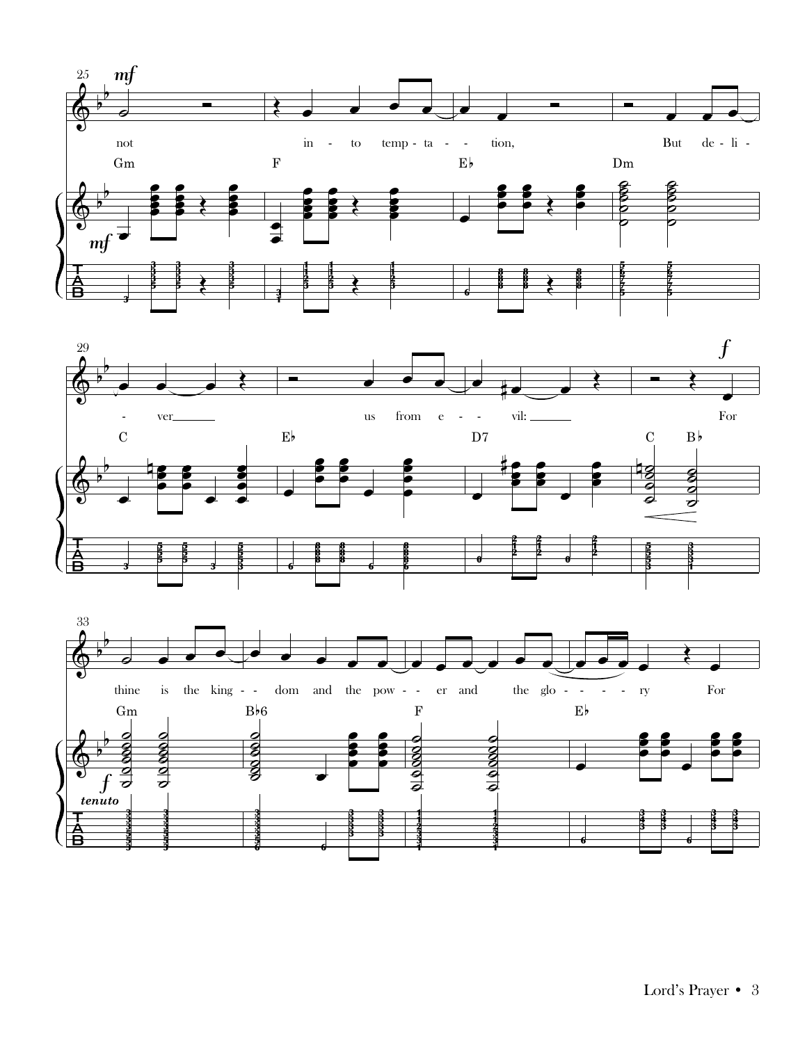